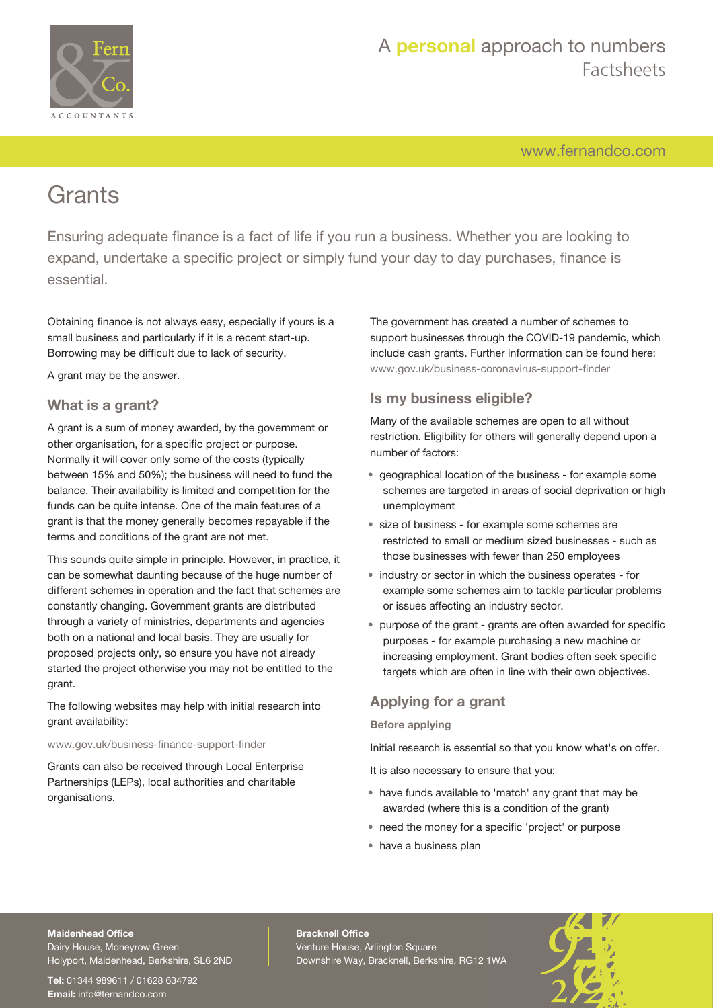

[www.fernandco.com](http://www.fernandco.com)

# **Grants**

Ensuring adequate finance is a fact of life if you run a business. Whether you are looking to expand, undertake a specific project or simply fund your day to day purchases, finance is essential.

Obtaining finance is not always easy, especially if yours is a small business and particularly if it is a recent start-up. Borrowing may be difficult due to lack of security.

A grant may be the answer.

## **What is a grant?**

A grant is a sum of money awarded, by the government or other organisation, for a specific project or purpose. Normally it will cover only some of the costs (typically between 15% and 50%); the business will need to fund the balance. Their availability is limited and competition for the funds can be quite intense. One of the main features of a grant is that the money generally becomes repayable if the terms and conditions of the grant are not met.

This sounds quite simple in principle. However, in practice, it can be somewhat daunting because of the huge number of different schemes in operation and the fact that schemes are constantly changing. Government grants are distributed through a variety of ministries, departments and agencies both on a national and local basis. They are usually for proposed projects only, so ensure you have not already started the project otherwise you may not be entitled to the grant.

The following websites may help with initial research into grant availability:

### [www.gov.uk/business-finance-support-finder](http://www.gov.uk/business-finance-support-finder)

Grants can also be received through Local Enterprise Partnerships (LEPs), local authorities and charitable organisations.

The government has created a number of schemes to support businesses through the COVID-19 pandemic, which include cash grants. Further information can be found here: [www.gov.uk/business-coronavirus-support-finder](https://www.gov.uk/business-coronavirus-support-finder)

## **Is my business eligible?**

Many of the available schemes are open to all without restriction. Eligibility for others will generally depend upon a number of factors:

- geographical location of the business for example some schemes are targeted in areas of social deprivation or high unemployment
- size of business for example some schemes are restricted to small or medium sized businesses - such as those businesses with fewer than 250 employees
- industry or sector in which the business operates for example some schemes aim to tackle particular problems or issues affecting an industry sector.
- purpose of the grant grants are often awarded for specific purposes - for example purchasing a new machine or increasing employment. Grant bodies often seek specific targets which are often in line with their own objectives.

## **Applying for a grant**

### **Before applying**

Initial research is essential so that you know what's on offer.

It is also necessary to ensure that you:

- have funds available to 'match' any grant that may be awarded (where this is a condition of the grant)
- need the money for a specific 'project' or purpose
- have a business plan

### **Maidenhead Office**

Dairy House, Moneyrow Green Holyport, Maidenhead, Berkshire, SL6 2ND

**Tel:** 01344 989611 / 01628 634792 **Email:** [info@fernandco.com](mailto:info@fernandco.com)

**Bracknell Office** Venture House, Arlington Square Downshire Way, Bracknell, Berkshire, RG12 1WA